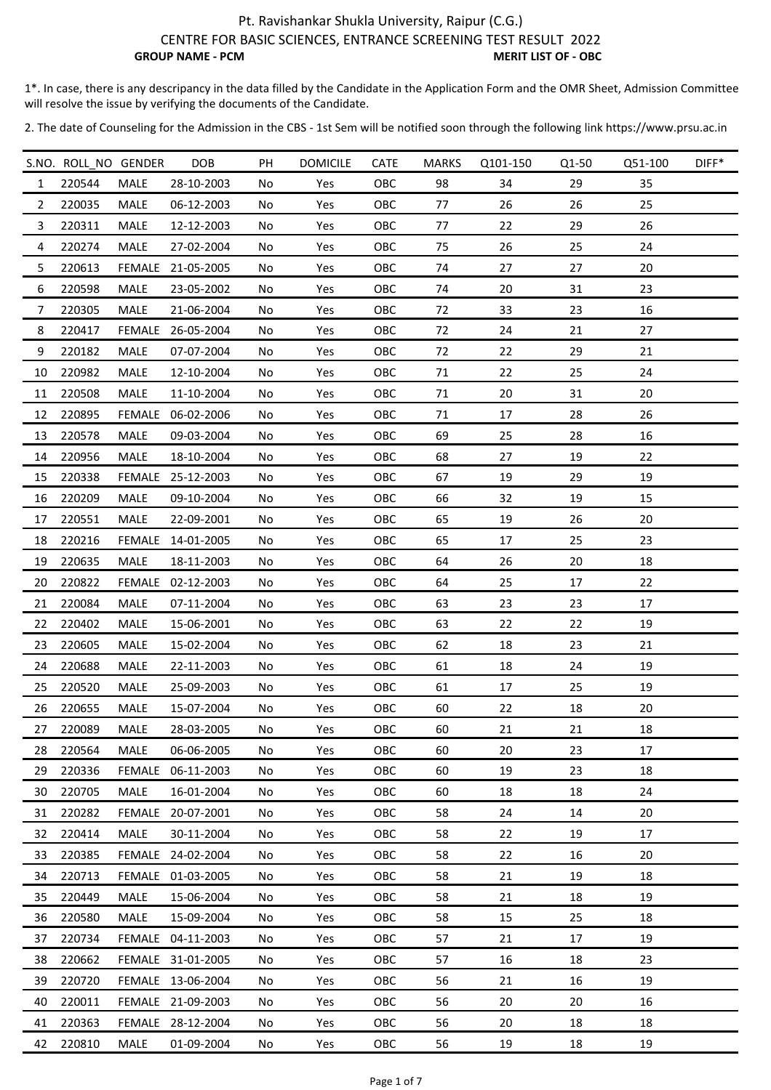1\*. In case, there is any descripancy in the data filled by the Candidate in the Application Form and the OMR Sheet, Admission Committee will resolve the issue by verifying the documents of the Candidate.

|                | S.NO. ROLL NO GENDER |             | <b>DOB</b>        | PH | <b>DOMICILE</b> | <b>CATE</b> | <b>MARKS</b> | Q101-150 | Q1-50 | Q51-100 | DIFF* |
|----------------|----------------------|-------------|-------------------|----|-----------------|-------------|--------------|----------|-------|---------|-------|
| $\mathbf{1}$   | 220544               | MALE        | 28-10-2003        | No | Yes             | OBC         | 98           | 34       | 29    | 35      |       |
| 2              | 220035               | MALE        | 06-12-2003        | No | Yes             | OBC         | 77           | 26       | 26    | 25      |       |
| 3              | 220311               | MALE        | 12-12-2003        | No | Yes             | OBC         | 77           | 22       | 29    | 26      |       |
| 4              | 220274               | MALE        | 27-02-2004        | No | Yes             | OBC         | 75           | 26       | 25    | 24      |       |
| 5              | 220613               |             | FEMALE 21-05-2005 | No | Yes             | OBC         | 74           | 27       | 27    | 20      |       |
| 6              | 220598               | MALE        | 23-05-2002        | No | Yes             | OBC         | 74           | 20       | 31    | 23      |       |
| $\overline{7}$ | 220305               | MALE        | 21-06-2004        | No | Yes             | OBC         | 72           | 33       | 23    | 16      |       |
| 8              | 220417               |             | FEMALE 26-05-2004 | No | Yes             | OBC         | 72           | 24       | 21    | 27      |       |
| 9              | 220182               | <b>MALE</b> | 07-07-2004        | No | Yes             | OBC         | 72           | 22       | 29    | 21      |       |
| 10             | 220982               | <b>MALE</b> | 12-10-2004        | No | Yes             | OBC         | 71           | 22       | 25    | 24      |       |
| 11             | 220508               | MALE        | 11-10-2004        | No | Yes             | OBC         | 71           | 20       | 31    | 20      |       |
| 12             | 220895               | FEMALE      | 06-02-2006        | No | Yes             | OBC         | 71           | 17       | 28    | 26      |       |
| 13             | 220578               | MALE        | 09-03-2004        | No | Yes             | OBC         | 69           | 25       | 28    | 16      |       |
| 14             | 220956               | <b>MALE</b> | 18-10-2004        | No | Yes             | OBC         | 68           | 27       | 19    | 22      |       |
| 15             | 220338               |             | FEMALE 25-12-2003 | No | Yes             | OBC         | 67           | 19       | 29    | 19      |       |
| 16             | 220209               | MALE        | 09-10-2004        | No | Yes             | OBC         | 66           | 32       | 19    | 15      |       |
| 17             | 220551               | MALE        | 22-09-2001        | No | Yes             | OBC         | 65           | 19       | 26    | 20      |       |
| 18             | 220216               |             | FEMALE 14-01-2005 | No | Yes             | OBC         | 65           | 17       | 25    | 23      |       |
| 19             | 220635               | MALE        | 18-11-2003        | No | Yes             | OBC         | 64           | 26       | 20    | 18      |       |
| 20             | 220822               |             | FEMALE 02-12-2003 | No | Yes             | OBC         | 64           | 25       | 17    | 22      |       |
| 21             | 220084               | MALE        | 07-11-2004        | No | Yes             | OBC         | 63           | 23       | 23    | 17      |       |
| 22             | 220402               | MALE        | 15-06-2001        | No | Yes             | OBC         | 63           | 22       | 22    | 19      |       |
| 23             | 220605               | MALE        | 15-02-2004        | No | Yes             | OBC         | 62           | 18       | 23    | 21      |       |
| 24             | 220688               | MALE        | 22-11-2003        | No | Yes             | OBC         | 61           | 18       | 24    | 19      |       |
| 25             | 220520               | MALE        | 25-09-2003        | No | Yes             | OBC         | 61           | 17       | 25    | 19      |       |
| 26             | 220655               | MALE        | 15-07-2004        | No | Yes             | OBC         | 60           | 22       | 18    | 20      |       |
| 27             | 220089               | MALE        | 28-03-2005        | No | Yes             | OBC         | 60           | 21       | 21    | 18      |       |
| 28             | 220564               | <b>MALE</b> | 06-06-2005        | No | Yes             | <b>OBC</b>  | 60           | 20       | 23    | 17      |       |
| 29             | 220336               |             | FEMALE 06-11-2003 | No | Yes             | OBC         | 60           | 19       | 23    | 18      |       |
| 30             | 220705               | <b>MALE</b> | 16-01-2004        | No | Yes             | OBC         | 60           | 18       | 18    | 24      |       |
| 31             | 220282               |             | FEMALE 20-07-2001 | No | Yes             | OBC         | 58           | 24       | 14    | 20      |       |
| 32             | 220414               | MALE        | 30-11-2004        | No | Yes             | OBC         | 58           | 22       | 19    | 17      |       |
| 33             | 220385               |             | FEMALE 24-02-2004 | No | Yes             | OBC         | 58           | 22       | 16    | 20      |       |
| 34             | 220713               |             | FEMALE 01-03-2005 | No | Yes             | OBC         | 58           | 21       | 19    | 18      |       |
| 35             | 220449               | <b>MALE</b> | 15-06-2004        | No | Yes             | OBC         | 58           | 21       | 18    | 19      |       |
| 36             | 220580               | MALE        | 15-09-2004        | No | Yes             | OBC         | 58           | 15       | 25    | 18      |       |
| 37             | 220734               |             | FEMALE 04-11-2003 | No | Yes             | OBC         | 57           | 21       | 17    | 19      |       |
| 38             | 220662               |             | FEMALE 31-01-2005 | No | Yes             | OBC         | 57           | 16       | 18    | 23      |       |
| 39             | 220720               |             | FEMALE 13-06-2004 | No | Yes             | OBC         | 56           | 21       | 16    | 19      |       |
| 40             | 220011               |             | FEMALE 21-09-2003 | No | Yes             | OBC         | 56           | 20       | 20    | 16      |       |
| 41             | 220363               |             | FEMALE 28-12-2004 | No | Yes             | OBC         | 56           | 20       | 18    | 18      |       |
| 42             | 220810               | MALE        | 01-09-2004        | No | Yes             | OBC         | 56           | 19       | 18    | 19      |       |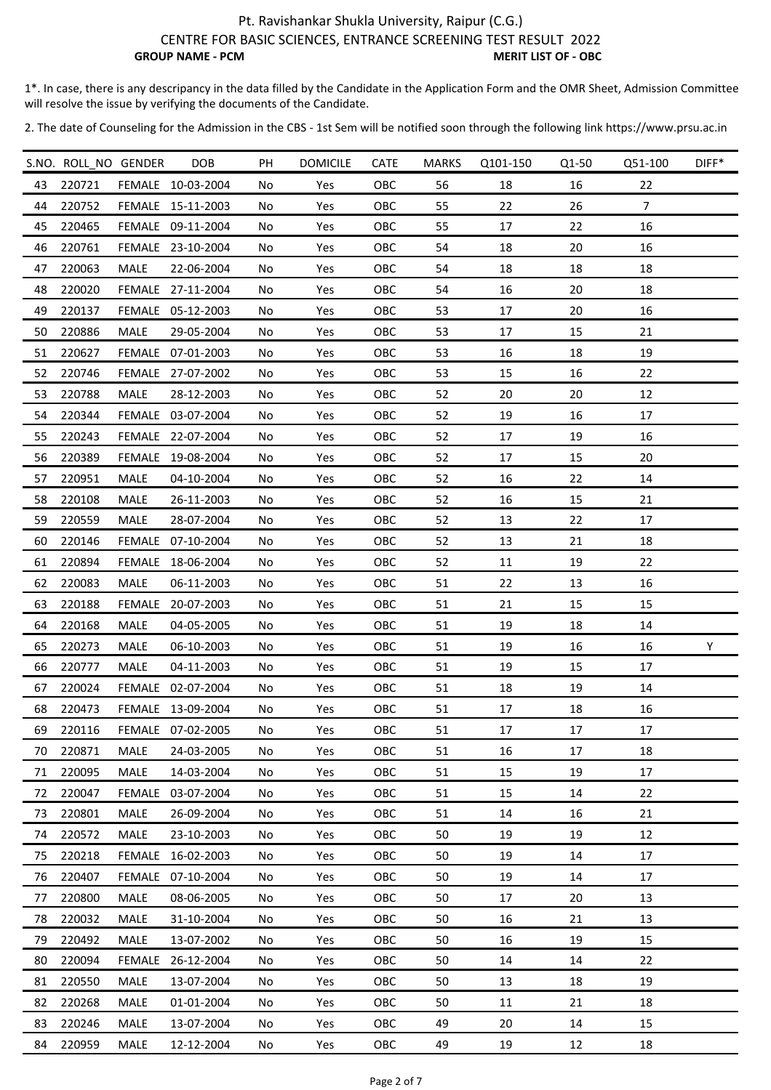1\*. In case, there is any descripancy in the data filled by the Candidate in the Application Form and the OMR Sheet, Admission Committee will resolve the issue by verifying the documents of the Candidate.

|    | S.NO. ROLL NO GENDER |             | DOB               | PH | <b>DOMICILE</b> | <b>CATE</b> | <b>MARKS</b> | Q101-150 | Q1-50 | Q51-100        | DIFF* |
|----|----------------------|-------------|-------------------|----|-----------------|-------------|--------------|----------|-------|----------------|-------|
| 43 | 220721               |             | FEMALE 10-03-2004 | No | Yes             | OBC         | 56           | 18       | 16    | 22             |       |
| 44 | 220752               |             | FEMALE 15-11-2003 | No | Yes             | OBC         | 55           | 22       | 26    | $\overline{7}$ |       |
| 45 | 220465               |             | FEMALE 09-11-2004 | No | Yes             | OBC         | 55           | 17       | 22    | 16             |       |
| 46 | 220761               |             | FEMALE 23-10-2004 | No | Yes             | OBC         | 54           | 18       | 20    | 16             |       |
| 47 | 220063               | MALE        | 22-06-2004        | No | Yes             | OBC         | 54           | 18       | 18    | 18             |       |
| 48 | 220020               |             | FEMALE 27-11-2004 | No | Yes             | OBC         | 54           | 16       | 20    | 18             |       |
| 49 | 220137               |             | FEMALE 05-12-2003 | No | Yes             | OBC         | 53           | 17       | 20    | 16             |       |
| 50 | 220886               | <b>MALE</b> | 29-05-2004        | No | Yes             | OBC         | 53           | 17       | 15    | 21             |       |
| 51 | 220627               |             | FEMALE 07-01-2003 | No | Yes             | OBC         | 53           | 16       | 18    | 19             |       |
| 52 | 220746               |             | FEMALE 27-07-2002 | No | Yes             | OBC         | 53           | 15       | 16    | 22             |       |
| 53 | 220788               | MALE        | 28-12-2003        | No | Yes             | OBC         | 52           | 20       | 20    | 12             |       |
| 54 | 220344               |             | FEMALE 03-07-2004 | No | Yes             | OBC         | 52           | 19       | 16    | 17             |       |
| 55 | 220243               |             | FEMALE 22-07-2004 | No | Yes             | OBC         | 52           | 17       | 19    | 16             |       |
| 56 | 220389               |             | FEMALE 19-08-2004 | No | Yes             | OBC         | 52           | 17       | 15    | 20             |       |
| 57 | 220951               | <b>MALE</b> | 04-10-2004        | No | Yes             | OBC         | 52           | 16       | 22    | 14             |       |
| 58 | 220108               | MALE        | 26-11-2003        | No | Yes             | OBC         | 52           | 16       | 15    | 21             |       |
| 59 | 220559               | MALE        | 28-07-2004        | No | Yes             | OBC         | 52           | 13       | 22    | 17             |       |
| 60 | 220146               |             | FEMALE 07-10-2004 | No | Yes             | OBC         | 52           | 13       | 21    | 18             |       |
| 61 | 220894               |             | FEMALE 18-06-2004 | No | Yes             | OBC         | 52           | 11       | 19    | 22             |       |
| 62 | 220083               | <b>MALE</b> | 06-11-2003        | No | Yes             | OBC         | 51           | 22       | 13    | 16             |       |
| 63 | 220188               |             | FEMALE 20-07-2003 | No | Yes             | OBC         | 51           | 21       | 15    | 15             |       |
| 64 | 220168               | MALE        | 04-05-2005        | No | Yes             | OBC         | 51           | 19       | 18    | 14             |       |
| 65 | 220273               | <b>MALE</b> | 06-10-2003        | No | Yes             | OBC         | 51           | 19       | 16    | 16             | Υ     |
| 66 | 220777               | MALE        | 04-11-2003        | No | Yes             | OBC         | 51           | 19       | 15    | 17             |       |
| 67 | 220024               |             | FEMALE 02-07-2004 | No | Yes             | OBC         | 51           | 18       | 19    | 14             |       |
| 68 | 220473               |             | FEMALE 13-09-2004 | No | Yes             | OBC         | 51           | 17       | 18    | 16             |       |
| 69 | 220116               |             | FEMALE 07-02-2005 | No | Yes             | OBC         | 51           | 17       | 17    | 17             |       |
| 70 | 220871               | MALE        | 24-03-2005        | No | Yes             | <b>OBC</b>  | 51           | 16       | 17    | 18             |       |
| 71 | 220095               | MALE        | 14-03-2004        | No | Yes             | OBC         | 51           | 15       | 19    | 17             |       |
| 72 | 220047               |             | FEMALE 03-07-2004 | No | Yes             | OBC         | 51           | 15       | 14    | 22             |       |
| 73 | 220801               | MALE        | 26-09-2004        | No | Yes             | OBC         | 51           | 14       | 16    | 21             |       |
| 74 | 220572               | MALE        | 23-10-2003        | No | Yes             | <b>OBC</b>  | 50           | 19       | 19    | 12             |       |
| 75 | 220218               |             | FEMALE 16-02-2003 | No | Yes             | OBC         | 50           | 19       | 14    | 17             |       |
| 76 | 220407               |             | FEMALE 07-10-2004 | No | Yes             | OBC         | 50           | 19       | 14    | 17             |       |
| 77 | 220800               | <b>MALE</b> | 08-06-2005        | No | Yes             | <b>OBC</b>  | 50           | 17       | 20    | 13             |       |
| 78 | 220032               | MALE        | 31-10-2004        | No | Yes             | OBC         | 50           | 16       | 21    | 13             |       |
| 79 | 220492               | <b>MALE</b> | 13-07-2002        | No | Yes             | OBC         | 50           | 16       | 19    | 15             |       |
| 80 | 220094               |             | FEMALE 26-12-2004 | No | Yes             | <b>OBC</b>  | 50           | 14       | 14    | 22             |       |
| 81 | 220550               | <b>MALE</b> | 13-07-2004        | No | Yes             | OBC         | 50           | 13       | 18    | 19             |       |
| 82 | 220268               | MALE        | 01-01-2004        | No | Yes             | OBC         | 50           | 11       | 21    | 18             |       |
| 83 | 220246               | MALE        | 13-07-2004        | No | Yes             | OBC         | 49           | 20       | 14    | 15             |       |
| 84 | 220959               | MALE        | 12-12-2004        | No | Yes             | OBC         | 49           | 19       | 12    | 18             |       |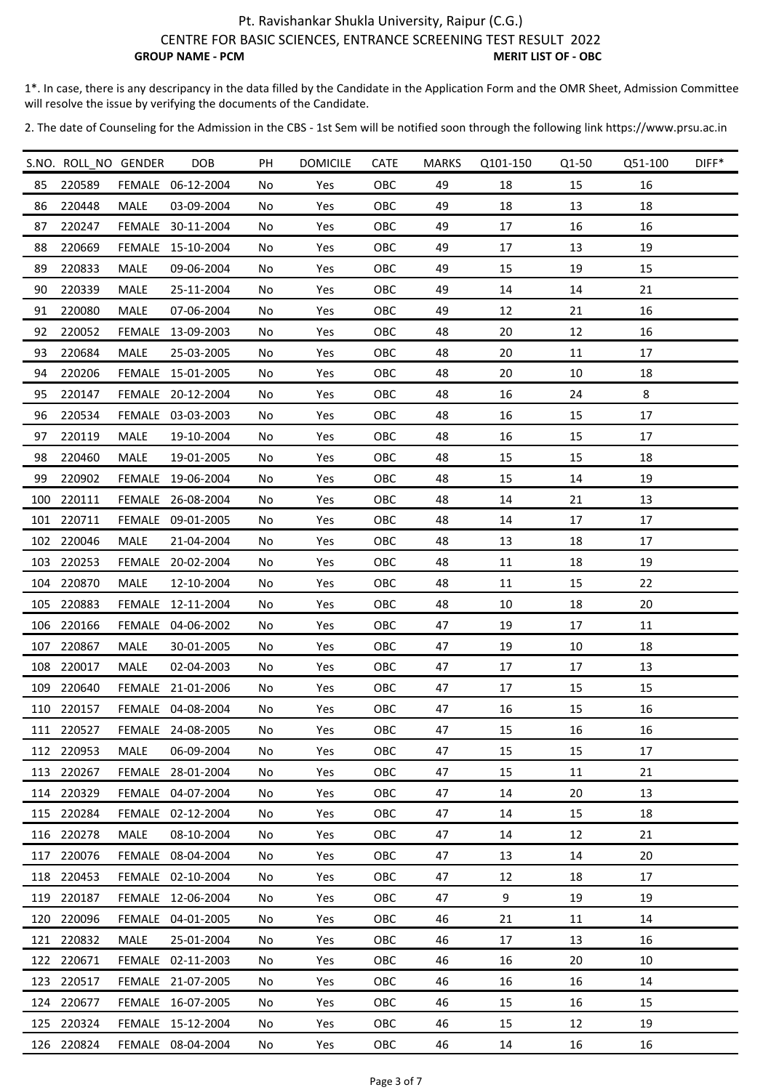1\*. In case, there is any descripancy in the data filled by the Candidate in the Application Form and the OMR Sheet, Admission Committee will resolve the issue by verifying the documents of the Candidate.

|     | S.NO. ROLL_NO GENDER |             | DOB               | PH  | <b>DOMICILE</b> | <b>CATE</b> | <b>MARKS</b> | Q101-150 | Q1-50 | Q51-100 | DIFF* |
|-----|----------------------|-------------|-------------------|-----|-----------------|-------------|--------------|----------|-------|---------|-------|
| 85  | 220589               |             | FEMALE 06-12-2004 | No  | Yes             | OBC         | 49           | 18       | 15    | 16      |       |
| 86  | 220448               | <b>MALE</b> | 03-09-2004        | No  | Yes             | OBC         | 49           | 18       | 13    | 18      |       |
| 87  | 220247               |             | FEMALE 30-11-2004 | No  | Yes             | OBC         | 49           | 17       | 16    | 16      |       |
| 88  | 220669               |             | FEMALE 15-10-2004 | No  | Yes             | OBC         | 49           | 17       | 13    | 19      |       |
| 89  | 220833               | MALE        | 09-06-2004        | No  | Yes             | <b>OBC</b>  | 49           | 15       | 19    | 15      |       |
| 90  | 220339               | <b>MALE</b> | 25-11-2004        | No  | Yes             | OBC         | 49           | 14       | 14    | 21      |       |
| 91  | 220080               | MALE        | 07-06-2004        | No  | Yes             | OBC         | 49           | 12       | 21    | 16      |       |
| 92  | 220052               |             | FEMALE 13-09-2003 | No  | Yes             | OBC         | 48           | 20       | 12    | 16      |       |
| 93  | 220684               | MALE        | 25-03-2005        | No  | Yes             | OBC         | 48           | 20       | 11    | 17      |       |
| 94  | 220206               |             | FEMALE 15-01-2005 | No  | Yes             | OBC         | 48           | 20       | 10    | 18      |       |
| 95  | 220147               |             | FEMALE 20-12-2004 | No  | Yes             | OBC         | 48           | 16       | 24    | 8       |       |
| 96  | 220534               |             | FEMALE 03-03-2003 | No  | Yes             | OBC         | 48           | 16       | 15    | 17      |       |
| 97  | 220119               | MALE        | 19-10-2004        | No  | Yes             | OBC         | 48           | 16       | 15    | 17      |       |
| 98  | 220460               | MALE        | 19-01-2005        | No  | Yes             | OBC         | 48           | 15       | 15    | 18      |       |
| 99  | 220902               | FEMALE      | 19-06-2004        | No  | Yes             | OBC         | 48           | 15       | 14    | 19      |       |
| 100 | 220111               |             | FEMALE 26-08-2004 | No  | Yes             | OBC         | 48           | 14       | 21    | 13      |       |
|     | 101 220711           |             | FEMALE 09-01-2005 | No  | Yes             | OBC         | 48           | 14       | 17    | 17      |       |
|     | 102 220046           | <b>MALE</b> | 21-04-2004        | No  | Yes             | OBC         | 48           | 13       | 18    | 17      |       |
|     | 103 220253           |             | FEMALE 20-02-2004 | No  | Yes             | OBC         | 48           | 11       | 18    | 19      |       |
| 104 | 220870               | <b>MALE</b> | 12-10-2004        | No  | Yes             | OBC         | 48           | 11       | 15    | 22      |       |
|     | 105 220883           |             | FEMALE 12-11-2004 | No  | Yes             | OBC         | 48           | 10       | 18    | 20      |       |
|     | 106 220166           |             | FEMALE 04-06-2002 | No  | Yes             | OBC         | 47           | 19       | 17    | 11      |       |
| 107 | 220867               | <b>MALE</b> | 30-01-2005        | No  | Yes             | OBC         | 47           | 19       | 10    | 18      |       |
|     | 108 220017           | MALE        | 02-04-2003        | No  | Yes             | OBC         | 47           | 17       | 17    | 13      |       |
|     | 109 220640           |             | FEMALE 21-01-2006 | No  | Yes             | OBC         | 47           | 17       | 15    | 15      |       |
|     | 110 220157           |             | FEMALE 04-08-2004 | No  | Yes             | OBC         | 47           | 16       | 15    | 16      |       |
|     | 111 220527           |             | FEMALE 24-08-2005 | No  | Yes             | OBC         | 47           | 15       | 16    | 16      |       |
|     | 112 220953           | MALE        | 06-09-2004        | No. | Yes             | OBC         | 47           | 15       | 15    | 17      |       |
|     | 113 220267           |             | FEMALE 28-01-2004 | No  | Yes             | OBC         | 47           | 15       | 11    | 21      |       |
|     | 114 220329           |             | FEMALE 04-07-2004 | No  | Yes             | OBC         | 47           | 14       | 20    | 13      |       |
|     | 115 220284           |             | FEMALE 02-12-2004 | No  | Yes             | <b>OBC</b>  | 47           | 14       | 15    | 18      |       |
|     | 116 220278           | MALE        | 08-10-2004        | No  | Yes             | <b>OBC</b>  | 47           | 14       | 12    | 21      |       |
|     | 117 220076           |             | FEMALE 08-04-2004 | No  | Yes             | OBC         | 47           | 13       | 14    | 20      |       |
|     | 118 220453           |             | FEMALE 02-10-2004 | No  | Yes             | OBC         | 47           | 12       | 18    | 17      |       |
|     | 119 220187           |             | FEMALE 12-06-2004 | No  | Yes             | <b>OBC</b>  | 47           | 9        | 19    | 19      |       |
|     | 120 220096           |             | FEMALE 04-01-2005 | No  | Yes             | <b>OBC</b>  | 46           | 21       | 11    | 14      |       |
|     | 121 220832           | MALE        | 25-01-2004        | No  | Yes             | OBC         | 46           | 17       | 13    | 16      |       |
|     | 122 220671           |             | FEMALE 02-11-2003 | No  | Yes             | OBC         | 46           | 16       | 20    | 10      |       |
|     | 123 220517           |             | FEMALE 21-07-2005 | No  | Yes             | OBC         | 46           | 16       | 16    | 14      |       |
|     | 124 220677           |             | FEMALE 16-07-2005 | No  | Yes             | OBC         | 46           | 15       | 16    | 15      |       |
|     | 125 220324           |             | FEMALE 15-12-2004 | No  | Yes             | <b>OBC</b>  | 46           | 15       | 12    | 19      |       |
|     | 126 220824           |             | FEMALE 08-04-2004 | No  | Yes             | OBC         | 46           | 14       | 16    | 16      |       |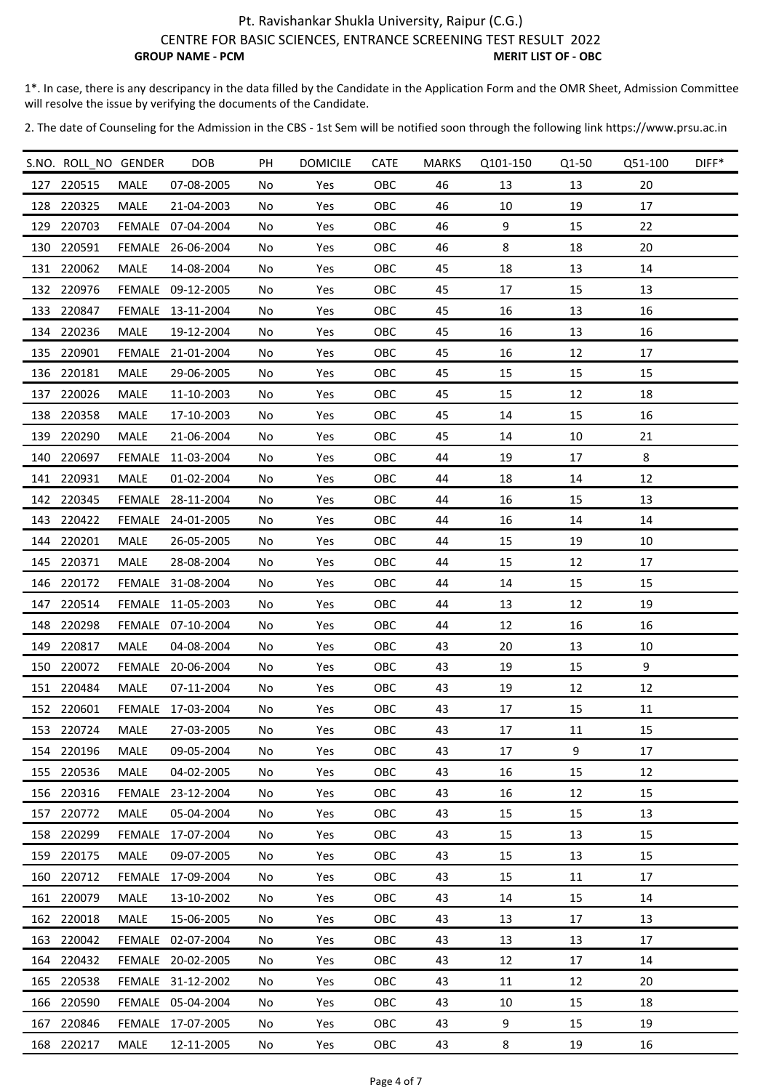1\*. In case, there is any descripancy in the data filled by the Candidate in the Application Form and the OMR Sheet, Admission Committee will resolve the issue by verifying the documents of the Candidate.

|     | S.NO. ROLL_NO GENDER |             | <b>DOB</b>        | PH | <b>DOMICILE</b> | <b>CATE</b> | <b>MARKS</b> | Q101-150 | Q1-50 | Q51-100 | DIFF* |
|-----|----------------------|-------------|-------------------|----|-----------------|-------------|--------------|----------|-------|---------|-------|
|     | 127 220515           | <b>MALE</b> | 07-08-2005        | No | Yes             | OBC         | 46           | 13       | 13    | 20      |       |
|     | 128 220325           | <b>MALE</b> | 21-04-2003        | No | Yes             | OBC         | 46           | 10       | 19    | 17      |       |
| 129 | 220703               |             | FEMALE 07-04-2004 | No | Yes             | OBC         | 46           | 9        | 15    | 22      |       |
|     | 130 220591           |             | FEMALE 26-06-2004 | No | Yes             | OBC         | 46           | 8        | 18    | 20      |       |
|     | 131 220062           | MALE        | 14-08-2004        | No | Yes             | OBC         | 45           | 18       | 13    | 14      |       |
| 132 | 220976               |             | FEMALE 09-12-2005 | No | Yes             | OBC         | 45           | 17       | 15    | 13      |       |
|     | 133 220847           |             | FEMALE 13-11-2004 | No | Yes             | OBC         | 45           | 16       | 13    | 16      |       |
|     | 134 220236           | MALE        | 19-12-2004        | No | Yes             | OBC         | 45           | 16       | 13    | 16      |       |
|     | 135 220901           |             | FEMALE 21-01-2004 | No | Yes             | OBC         | 45           | 16       | 12    | 17      |       |
|     | 136 220181           | MALE        | 29-06-2005        | No | Yes             | OBC         | 45           | 15       | 15    | 15      |       |
| 137 | 220026               | MALE        | 11-10-2003        | No | Yes             | OBC         | 45           | 15       | 12    | 18      |       |
| 138 | 220358               | MALE        | 17-10-2003        | No | Yes             | OBC         | 45           | 14       | 15    | 16      |       |
| 139 | 220290               | MALE        | 21-06-2004        | No | Yes             | OBC         | 45           | 14       | 10    | 21      |       |
| 140 | 220697               |             | FEMALE 11-03-2004 | No | Yes             | OBC         | 44           | 19       | 17    | 8       |       |
|     | 141 220931           | MALE        | 01-02-2004        | No | Yes             | OBC         | 44           | 18       | 14    | 12      |       |
|     | 142 220345           |             | FEMALE 28-11-2004 | No | Yes             | OBC         | 44           | 16       | 15    | 13      |       |
|     | 143 220422           |             | FEMALE 24-01-2005 | No | Yes             | OBC         | 44           | 16       | 14    | 14      |       |
|     | 144 220201           | MALE        | 26-05-2005        | No | Yes             | OBC         | 44           | 15       | 19    | 10      |       |
|     | 145 220371           | MALE        | 28-08-2004        | No | Yes             | OBC         | 44           | 15       | 12    | 17      |       |
| 146 | 220172               |             | FEMALE 31-08-2004 | No | Yes             | OBC         | 44           | 14       | 15    | 15      |       |
|     | 147 220514           |             | FEMALE 11-05-2003 | No | Yes             | OBC         | 44           | 13       | 12    | 19      |       |
|     | 148 220298           |             | FEMALE 07-10-2004 | No | Yes             | OBC         | 44           | 12       | 16    | 16      |       |
| 149 | 220817               | <b>MALE</b> | 04-08-2004        | No | Yes             | OBC         | 43           | 20       | 13    | 10      |       |
| 150 | 220072               |             | FEMALE 20-06-2004 | No | Yes             | OBC         | 43           | 19       | 15    | 9       |       |
|     | 151 220484           | <b>MALE</b> | 07-11-2004        | No | Yes             | OBC         | 43           | 19       | 12    | 12      |       |
|     | 152 220601           |             | FEMALE 17-03-2004 | No | Yes             | OBC         | 43           | 17       | 15    | 11      |       |
|     | 153 220724           | MALE        | 27-03-2005        | No | Yes             | OBC         | 43           | 17       | 11    | 15      |       |
|     | 154 220196           | MALE        | 09-05-2004        | No | Yes             | OBC         | 43           | 17       | 9     | 17      |       |
|     | 155 220536           | MALE        | 04-02-2005        | No | Yes             | OBC         | 43           | 16       | 15    | 12      |       |
|     | 156 220316           |             | FEMALE 23-12-2004 | No | Yes             | OBC         | 43           | 16       | 12    | 15      |       |
|     | 157 220772           | MALE        | 05-04-2004        | No | Yes             | <b>OBC</b>  | 43           | 15       | 15    | 13      |       |
|     | 158 220299           |             | FEMALE 17-07-2004 | No | Yes             | <b>OBC</b>  | 43           | 15       | 13    | 15      |       |
|     | 159 220175           | <b>MALE</b> | 09-07-2005        | No | Yes             | OBC         | 43           | 15       | 13    | 15      |       |
|     | 160 220712           |             | FEMALE 17-09-2004 | No | Yes             | OBC         | 43           | 15       | 11    | 17      |       |
|     | 161 220079           | MALE        | 13-10-2002        | No | Yes             | <b>OBC</b>  | 43           | 14       | 15    | 14      |       |
|     | 162 220018           | MALE        | 15-06-2005        | No | Yes             | <b>OBC</b>  | 43           | 13       | 17    | 13      |       |
|     | 163 220042           |             | FEMALE 02-07-2004 | No | Yes             | OBC         | 43           | 13       | 13    | 17      |       |
|     | 164 220432           |             | FEMALE 20-02-2005 | No | Yes             | OBC         | 43           | 12       | 17    | 14      |       |
|     | 165 220538           |             | FEMALE 31-12-2002 | No | Yes             | OBC         | 43           | 11       | 12    | 20      |       |
|     | 166 220590           |             | FEMALE 05-04-2004 | No | Yes             | OBC         | 43           | 10       | 15    | 18      |       |
|     | 167 220846           |             | FEMALE 17-07-2005 | No | Yes             | <b>OBC</b>  | 43           | 9        | 15    | 19      |       |
|     | 168 220217           | MALE        | 12-11-2005        | No | Yes             | OBC         | 43           | 8        | 19    | 16      |       |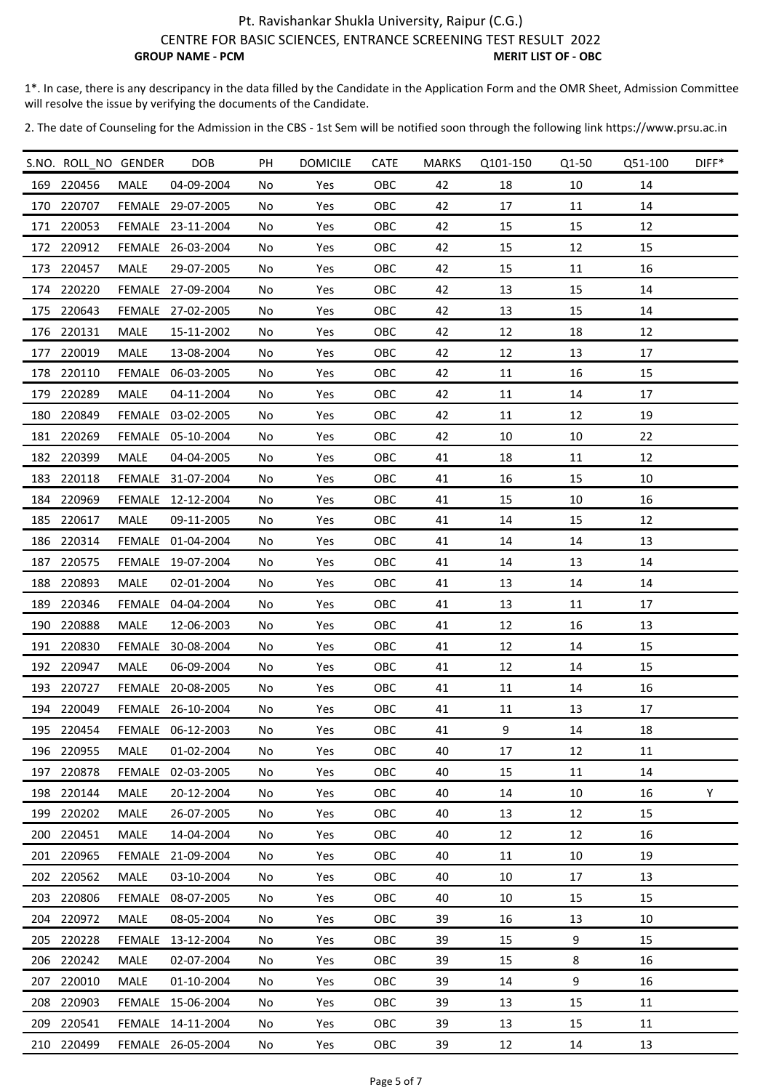1\*. In case, there is any descripancy in the data filled by the Candidate in the Application Form and the OMR Sheet, Admission Committee will resolve the issue by verifying the documents of the Candidate.

|     | S.NO. ROLL_NO GENDER |             | <b>DOB</b>        | PH  | <b>DOMICILE</b> | <b>CATE</b> | <b>MARKS</b> | Q101-150 | Q1-50 | Q51-100 | DIFF* |
|-----|----------------------|-------------|-------------------|-----|-----------------|-------------|--------------|----------|-------|---------|-------|
|     | 169 220456           | <b>MALE</b> | 04-09-2004        | No  | Yes             | OBC         | 42           | 18       | 10    | 14      |       |
|     | 170 220707           |             | FEMALE 29-07-2005 | No  | Yes             | OBC         | 42           | 17       | 11    | 14      |       |
|     | 171 220053           |             | FEMALE 23-11-2004 | No  | Yes             | OBC         | 42           | 15       | 15    | 12      |       |
|     | 172 220912           |             | FEMALE 26-03-2004 | No  | Yes             | OBC         | 42           | 15       | 12    | 15      |       |
|     | 173 220457           | MALE        | 29-07-2005        | No  | Yes             | <b>OBC</b>  | 42           | 15       | 11    | 16      |       |
|     | 174 220220           |             | FEMALE 27-09-2004 | No  | Yes             | OBC         | 42           | 13       | 15    | 14      |       |
|     | 175 220643           |             | FEMALE 27-02-2005 | No  | Yes             | OBC         | 42           | 13       | 15    | 14      |       |
|     | 176 220131           | MALE        | 15-11-2002        | No  | Yes             | OBC         | 42           | 12       | 18    | 12      |       |
|     | 177 220019           | MALE        | 13-08-2004        | No  | Yes             | OBC         | 42           | 12       | 13    | 17      |       |
|     | 178 220110           |             | FEMALE 06-03-2005 | No  | Yes             | OBC         | 42           | 11       | 16    | 15      |       |
|     | 179 220289           | <b>MALE</b> | 04-11-2004        | No  | Yes             | OBC         | 42           | 11       | 14    | 17      |       |
| 180 | 220849               |             | FEMALE 03-02-2005 | No  | Yes             | OBC         | 42           | 11       | 12    | 19      |       |
|     | 181 220269           |             | FEMALE 05-10-2004 | No  | Yes             | OBC         | 42           | 10       | 10    | 22      |       |
|     | 182 220399           | MALE        | 04-04-2005        | No  | Yes             | OBC         | 41           | 18       | 11    | 12      |       |
| 183 | 220118               |             | FEMALE 31-07-2004 | No  | Yes             | OBC         | 41           | 16       | 15    | 10      |       |
|     | 184 220969           |             | FEMALE 12-12-2004 | No  | Yes             | OBC         | 41           | 15       | 10    | 16      |       |
|     | 185 220617           | MALE        | 09-11-2005        | No  | Yes             | OBC         | 41           | 14       | 15    | 12      |       |
| 186 | 220314               |             | FEMALE 01-04-2004 | No  | Yes             | OBC         | 41           | 14       | 14    | 13      |       |
|     | 187 220575           |             | FEMALE 19-07-2004 | No  | Yes             | OBC         | 41           | 14       | 13    | 14      |       |
| 188 | 220893               | MALE        | 02-01-2004        | No  | Yes             | OBC         | 41           | 13       | 14    | 14      |       |
| 189 | 220346               |             | FEMALE 04-04-2004 | No  | Yes             | OBC         | 41           | 13       | 11    | 17      |       |
|     | 190 220888           | <b>MALE</b> | 12-06-2003        | No  | Yes             | OBC         | 41           | 12       | 16    | 13      |       |
|     | 191 220830           |             | FEMALE 30-08-2004 | No  | Yes             | OBC         | 41           | 12       | 14    | 15      |       |
|     | 192 220947           | MALE        | 06-09-2004        | No  | Yes             | OBC         | 41           | 12       | 14    | 15      |       |
|     | 193 220727           |             | FEMALE 20-08-2005 | No  | Yes             | OBC         | 41           | 11       | 14    | 16      |       |
|     | 194 220049           |             | FEMALE 26-10-2004 | No  | Yes             | OBC         | 41           | 11       | 13    | 17      |       |
|     | 195 220454           |             | FEMALE 06-12-2003 | No  | Yes             | OBC         | 41           | 9        | 14    | 18      |       |
|     | 196 220955           | MALE        | 01-02-2004        | No. | Yes             | OBC         | 40           | 17       | 12    | 11      |       |
|     | 197 220878           |             | FEMALE 02-03-2005 | No  | Yes             | OBC         | 40           | 15       | 11    | 14      |       |
|     | 198 220144           | MALE        | 20-12-2004        | No  | Yes             | OBC         | 40           | 14       | 10    | 16      | Υ     |
|     | 199 220202           | <b>MALE</b> | 26-07-2005        | No  | Yes             | <b>OBC</b>  | 40           | 13       | 12    | 15      |       |
|     | 200 220451           | MALE        | 14-04-2004        | No  | Yes             | <b>OBC</b>  | 40           | 12       | 12    | 16      |       |
|     | 201 220965           |             | FEMALE 21-09-2004 | No  | Yes             | OBC         | 40           | 11       | 10    | 19      |       |
|     | 202 220562           | MALE        | 03-10-2004        | No  | Yes             | OBC         | 40           | 10       | 17    | 13      |       |
|     | 203 220806           |             | FEMALE 08-07-2005 | No  | Yes             | OBC         | 40           | 10       | 15    | 15      |       |
|     | 204 220972           | <b>MALE</b> | 08-05-2004        | No  | Yes             | <b>OBC</b>  | 39           | 16       | 13    | 10      |       |
|     | 205 220228           |             | FEMALE 13-12-2004 | No  | Yes             | OBC         | 39           | 15       | 9     | 15      |       |
|     | 206 220242           | <b>MALE</b> | 02-07-2004        | No  | Yes             | OBC         | 39           | 15       | 8     | 16      |       |
|     | 207 220010           | MALE        | 01-10-2004        | No  | Yes             | OBC         | 39           | 14       | 9     | 16      |       |
|     | 208 220903           |             | FEMALE 15-06-2004 | No  | Yes             | OBC         | 39           | 13       | 15    | 11      |       |
|     | 209 220541           |             | FEMALE 14-11-2004 | No  | Yes             | <b>OBC</b>  | 39           | 13       | 15    | 11      |       |
|     | 210 220499           |             | FEMALE 26-05-2004 | No  | Yes             | OBC         | 39           | 12       | 14    | 13      |       |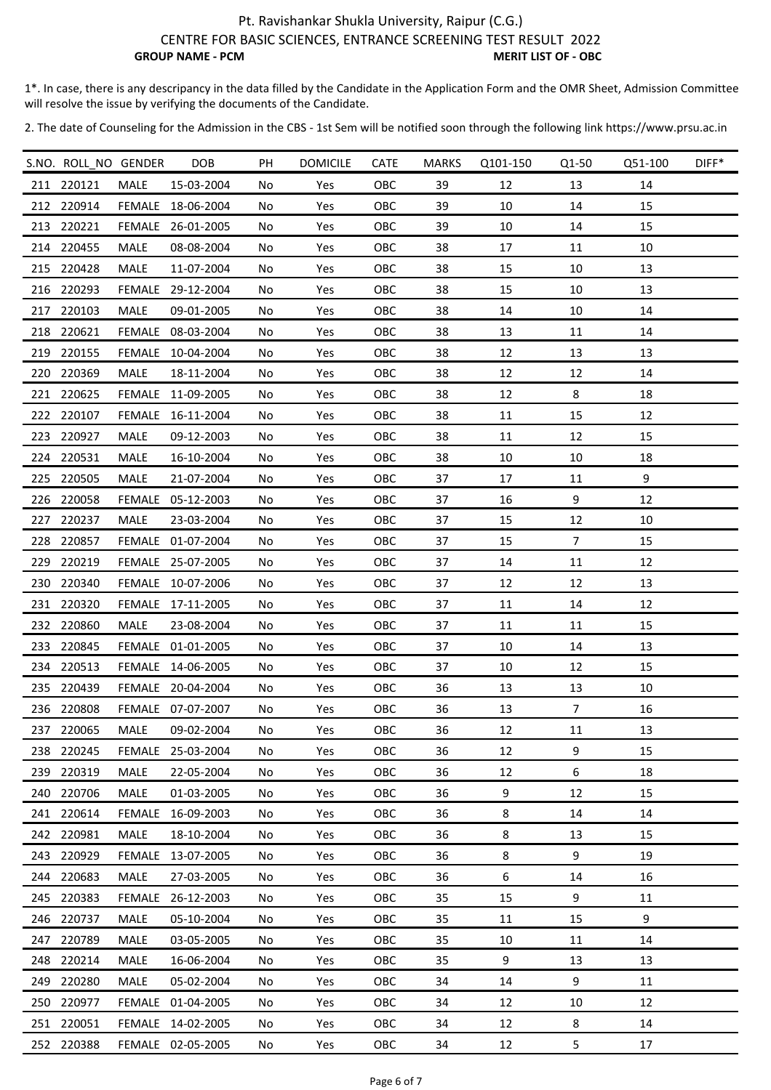1\*. In case, there is any descripancy in the data filled by the Candidate in the Application Form and the OMR Sheet, Admission Committee will resolve the issue by verifying the documents of the Candidate.

|     | S.NO. ROLL_NO GENDER |             | DOB               | PH | <b>DOMICILE</b> | <b>CATE</b> | <b>MARKS</b> | Q101-150 | Q1-50          | Q51-100 | DIFF* |
|-----|----------------------|-------------|-------------------|----|-----------------|-------------|--------------|----------|----------------|---------|-------|
|     | 211 220121           | <b>MALE</b> | 15-03-2004        | No | Yes             | OBC         | 39           | 12       | 13             | 14      |       |
|     | 212 220914           |             | FEMALE 18-06-2004 | No | Yes             | OBC         | 39           | 10       | 14             | 15      |       |
| 213 | 220221               |             | FEMALE 26-01-2005 | No | Yes             | OBC         | 39           | 10       | 14             | 15      |       |
|     | 214 220455           | MALE        | 08-08-2004        | No | Yes             | OBC         | 38           | 17       | 11             | 10      |       |
|     | 215 220428           | MALE        | 11-07-2004        | No | Yes             | OBC         | 38           | 15       | 10             | 13      |       |
|     | 216 220293           |             | FEMALE 29-12-2004 | No | Yes             | OBC         | 38           | 15       | 10             | 13      |       |
|     | 217 220103           | MALE        | 09-01-2005        | No | Yes             | OBC         | 38           | 14       | 10             | 14      |       |
|     | 218 220621           |             | FEMALE 08-03-2004 | No | Yes             | OBC         | 38           | 13       | 11             | 14      |       |
|     | 219 220155           |             | FEMALE 10-04-2004 | No | Yes             | OBC         | 38           | 12       | 13             | 13      |       |
| 220 | 220369               | MALE        | 18-11-2004        | No | Yes             | OBC         | 38           | 12       | 12             | 14      |       |
|     | 221 220625           |             | FEMALE 11-09-2005 | No | Yes             | OBC         | 38           | 12       | 8              | 18      |       |
|     | 222 220107           |             | FEMALE 16-11-2004 | No | Yes             | OBC         | 38           | 11       | 15             | 12      |       |
|     | 223 220927           | MALE        | 09-12-2003        | No | Yes             | OBC         | 38           | 11       | 12             | 15      |       |
|     | 224 220531           | MALE        | 16-10-2004        | No | Yes             | OBC         | 38           | 10       | 10             | 18      |       |
|     | 225 220505           | MALE        | 21-07-2004        | No | Yes             | OBC         | 37           | 17       | 11             | 9       |       |
|     | 226 220058           |             | FEMALE 05-12-2003 | No | Yes             | OBC         | 37           | 16       | 9              | 12      |       |
|     | 227 220237           | <b>MALE</b> | 23-03-2004        | No | Yes             | OBC         | 37           | 15       | 12             | 10      |       |
|     | 228 220857           |             | FEMALE 01-07-2004 | No | Yes             | OBC         | 37           | 15       | $\overline{7}$ | 15      |       |
|     | 229 220219           |             | FEMALE 25-07-2005 | No | Yes             | OBC         | 37           | 14       | 11             | 12      |       |
|     | 230 220340           |             | FEMALE 10-07-2006 | No | Yes             | OBC         | 37           | 12       | 12             | 13      |       |
|     | 231 220320           |             | FEMALE 17-11-2005 | No | Yes             | OBC         | 37           | 11       | 14             | 12      |       |
|     | 232 220860           | MALE        | 23-08-2004        | No | Yes             | OBC         | 37           | 11       | 11             | 15      |       |
|     | 233 220845           |             | FEMALE 01-01-2005 | No | Yes             | OBC         | 37           | 10       | 14             | 13      |       |
|     | 234 220513           |             | FEMALE 14-06-2005 | No | Yes             | OBC         | 37           | 10       | 12             | 15      |       |
|     | 235 220439           |             | FEMALE 20-04-2004 | No | Yes             | OBC         | 36           | 13       | 13             | 10      |       |
|     | 236 220808           |             | FEMALE 07-07-2007 | No | Yes             | OBC         | 36           | 13       | $\overline{7}$ | 16      |       |
|     | 237 220065           | MALE        | 09-02-2004        | No | Yes             | OBC         | 36           | 12       | 11             | 13      |       |
|     | 238 220245           |             | FEMALE 25-03-2004 | No | Yes             | OBC         | 36           | 12       | 9              | 15      |       |
|     | 239 220319           | MALE        | 22-05-2004        | No | Yes             | OBC         | 36           | 12       | 6              | 18      |       |
|     | 240 220706           | MALE        | 01-03-2005        | No | Yes             | OBC         | 36           | 9        | 12             | 15      |       |
|     | 241 220614           |             | FEMALE 16-09-2003 | No | Yes             | <b>OBC</b>  | 36           | 8        | 14             | 14      |       |
|     | 242 220981           | MALE        | 18-10-2004        | No | Yes             | <b>OBC</b>  | 36           | 8        | 13             | 15      |       |
|     | 243 220929           |             | FEMALE 13-07-2005 | No | Yes             | OBC         | 36           | 8        | 9              | 19      |       |
|     | 244 220683           | MALE        | 27-03-2005        | No | Yes             | OBC         | 36           | 6        | 14             | 16      |       |
|     | 245 220383           |             | FEMALE 26-12-2003 | No | Yes             | OBC         | 35           | 15       | 9              | 11      |       |
|     | 246 220737           | <b>MALE</b> | 05-10-2004        | No | Yes             | <b>OBC</b>  | 35           | 11       | 15             | 9       |       |
|     | 247 220789           | <b>MALE</b> | 03-05-2005        | No | Yes             | OBC         | 35           | 10       | 11             | 14      |       |
|     | 248 220214           | MALE        | 16-06-2004        | No | Yes             | OBC         | 35           | 9        | 13             | 13      |       |
|     | 249 220280           | <b>MALE</b> | 05-02-2004        | No | Yes             | OBC         | 34           | 14       | 9              | 11      |       |
|     | 250 220977           |             | FEMALE 01-04-2005 | No | Yes             | OBC         | 34           | 12       | 10             | 12      |       |
|     | 251 220051           |             | FEMALE 14-02-2005 | No | Yes             | <b>OBC</b>  | 34           | 12       | 8              | 14      |       |
|     | 252 220388           |             | FEMALE 02-05-2005 | No | Yes             | OBC         | 34           | 12       | 5              | 17      |       |